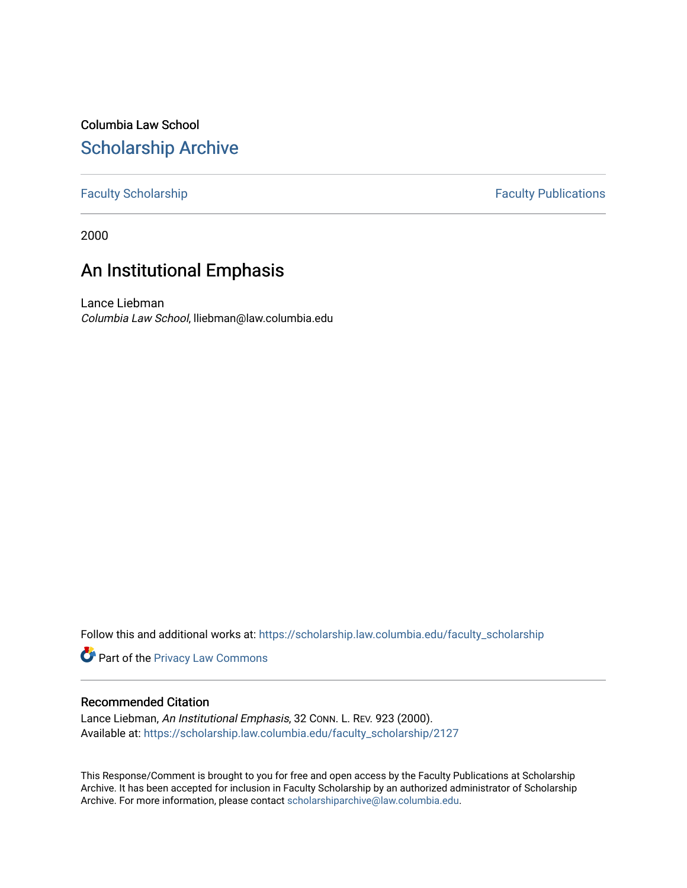## Columbia Law School [Scholarship Archive](https://scholarship.law.columbia.edu/)

#### [Faculty Scholarship](https://scholarship.law.columbia.edu/faculty_scholarship) **Faculty Publications**

2000

# An Institutional Emphasis

Lance Liebman Columbia Law School, lliebman@law.columbia.edu

Follow this and additional works at: [https://scholarship.law.columbia.edu/faculty\\_scholarship](https://scholarship.law.columbia.edu/faculty_scholarship?utm_source=scholarship.law.columbia.edu%2Ffaculty_scholarship%2F2127&utm_medium=PDF&utm_campaign=PDFCoverPages)

**Part of the Privacy Law Commons** 

#### Recommended Citation

Lance Liebman, An Institutional Emphasis, 32 Conn. L. REV. 923 (2000). Available at: [https://scholarship.law.columbia.edu/faculty\\_scholarship/2127](https://scholarship.law.columbia.edu/faculty_scholarship/2127?utm_source=scholarship.law.columbia.edu%2Ffaculty_scholarship%2F2127&utm_medium=PDF&utm_campaign=PDFCoverPages)

This Response/Comment is brought to you for free and open access by the Faculty Publications at Scholarship Archive. It has been accepted for inclusion in Faculty Scholarship by an authorized administrator of Scholarship Archive. For more information, please contact [scholarshiparchive@law.columbia.edu](mailto:scholarshiparchive@law.columbia.edu).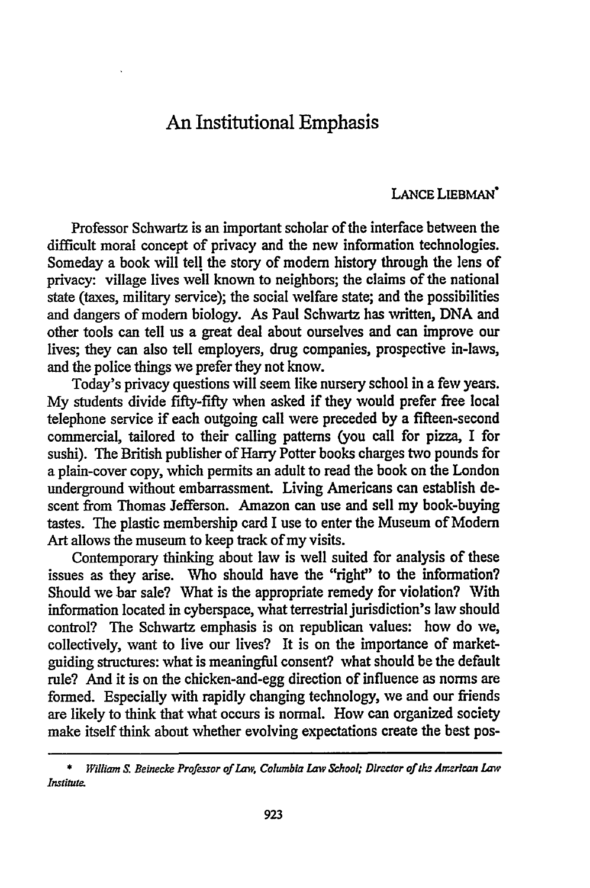### An Institutional Emphasis

#### LANCE LIEBMAN'

Professor Schwartz is an important scholar of the interface between the difficult moral concept of privacy and the new information technologies. Someday a book will tell the story of modem history through the lens of privacy: village lives well known to neighbors; the claims of the national state (taxes, military service); the social welfare state; and the possibilities and dangers of modem biology. As Paul Schwartz has written, DNA and other tools can tell us a great deal about ourselves and can improve our lives; they can also tell employers, drug companies, prospective in-laws, and the police things we prefer they not know.

Today's privacy questions will seem like nursery school in a few years. My students divide fifty-fifty when asked if they would prefer free local telephone service if each outgoing call were preceded by a fifteen-second commercial, tailored to their calling patterns (you call for pizza, I for sushi). The British publisher of Harry Potter books charges two pounds for a plain-cover copy, which permits an adult to read the book on the London underground without embarrassment. Living Americans can establish descent from Thomas Jefferson. Amazon can use and sell my book-buying tastes. The plastic membership card I use to enter the Museum of Modem Art allows the museum to keep track of my visits.

Contemporary thinking about law is well suited for analysis of these issues as they arise. Who should have the "right" to the information? Should we bar sale? What is the appropriate remedy for violation? With information located in cyberspace, what terrestrial jurisdiction's law should control? The Schwartz emphasis is on republican values: how do we, collectively, want to live our lives? It is on the importance of marketguiding structures: what is meaningful consent? what should be the default rule? And it is on the chicken-and-egg direction of influence as norms are formed. Especially with rapidly changing technology, we and our friends are likely to think that what occurs is normal. How can organized society make itself think about whether evolving expectations create the best pos-

**<sup>\*</sup>** *William S. Beinecke Professor of Law, Columbia Law School; Director of h Armrlcan Law Institute.*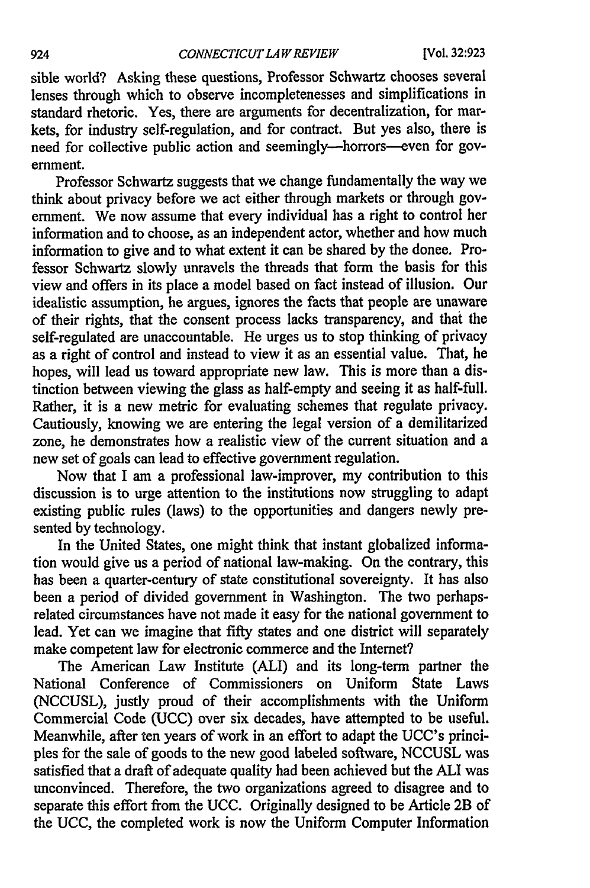sible world? Asking these questions, Professor Schwartz chooses several lenses through which to observe incompletenesses and simplifications in standard rhetoric. Yes, there are arguments for decentralization, for markets, for industry self-regulation, and for contract. But yes also, there is need for collective public action and seemingly-horrors--even for government.

Professor Schwartz suggests that we change fundamentally the way we think about privacy before we act either through markets or through government. We now assume that every individual has a right to control her information and to choose, as an independent actor, whether and how much information to give and to what extent it can be shared by the donee. Professor Schwartz slowly unravels the threads that form the basis for this view and offers in its place a model based on fact instead of illusion. Our idealistic assumption, he argues, ignores the facts that people are unaware of their rights, that the consent process lacks transparency, and that the self-regulated are unaccountable. He urges us to stop thinking of privacy as a right of control and instead to view it as an essential value. That, he hopes, will lead us toward appropriate new law. This is more than a distinction between viewing the glass as half-empty and seeing it as half-full. Rather, it is a new metric for evaluating schemes that regulate privacy. Cautiously, knowing we are entering the legal version of a demilitarized zone, he demonstrates how a realistic view of the current situation and a new set of goals can lead to effective government regulation.

Now that I am a professional law-improver, my contribution to this discussion is to urge attention to the institutions now struggling to adapt existing public rules (laws) to the opportunities and dangers newly presented by technology.

In the United States, one might think that instant globalized information would give us a period of national law-making. On the contrary, this has been a quarter-century of state constitutional sovereignty. It has also been a period of divided government in Washington. The two perhapsrelated circumstances have not made it easy for the national government to lead. Yet can we imagine that fifty states and one district will separately make competent law for electronic commerce and the Internet?

The American Law Institute (ALI) and its long-term partner the National Conference of Commissioners on Uniform State Laws (NCCUSL), justly proud of their accomplishments with the Uniform Commercial Code (UCC) over six decades, have attempted to be useful. Meanwhile, after ten years of work in an effort to adapt the UCC's principles for the sale of goods to the new good labeled software, NCCUSL was satisfied that a draft of adequate quality had been achieved but the **ALI** was unconvinced. Therefore, the two organizations agreed to disagree and to separate this effort from the UCC. Originally designed to be Article 2B of the UCC, the completed work is now the Uniform Computer Information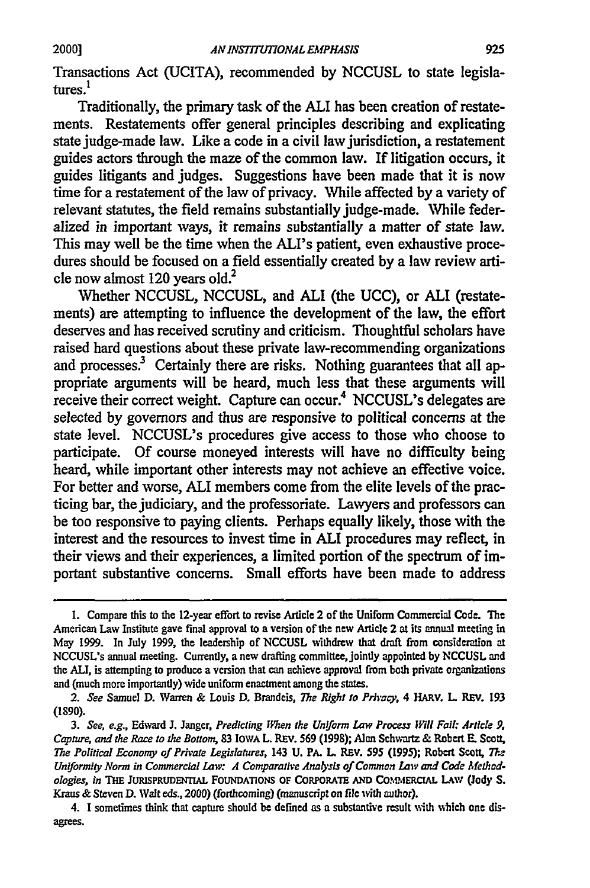Transactions Act (UCITA), recommended by NCCUSL to state legislatures.<sup>1</sup>

Traditionally, the primary task of the ALI has been creation of restatements. Restatements offer general principles describing and explicating state judge-made law. Like a code in a civil law jurisdiction, a restatement guides actors through the maze of the common law. If litigation occurs, it guides litigants and judges. Suggestions have been made that it is now time for a restatement of the law of privacy. While affected by a variety of relevant statutes, the field remains substantially judge-made. While federalized in important ways, it remains substantially a matter of state law. This may well be the time when the ALI's patient, even exhaustive procedures should be focused on a field essentially created by a law review article now almost 120 years old.<sup>2</sup>

Whether NCCUSL, NCCUSL, and **ALI** (the UCC), or **ALI** (restatements) are attempting to influence the development of the law, the effort deserves and has received scrutiny and criticism. Thoughtful scholars have raised hard questions about these private law-recommending organizations and processes.<sup>3</sup> Certainly there are risks. Nothing guarantees that all appropriate arguments will be heard, much less that these arguments will receive their correct weight. Capture can occur.<sup>4</sup> NCCUSL's delegates are selected by governors and thus are responsive to political concerns at the state level. NCCUSL's procedures give access to those who choose to participate. Of course moneyed interests will have no difficulty being heard, while important other interests may not achieve an effective voice. For better and worse, **ALI** members come from the elite levels of the practicing bar, the judiciary, and the professoriate. Lawyers and professors can be too responsive to paying clients. Perhaps equally likely, those with the interest and the resources to invest time in **ALI** procedures may reflect, in their views and their experiences, a limited portion of the spectrum of important substantive concerns. Small efforts have been made to address

**<sup>1.</sup>** Compare this to the **12-year** effort to revise Article 2 of the Uniform Commercial Code. The American Law Institute gave final approval to a version of the new Article 2 at its annual meeting in May 1999. In July **1999,** the leadership of **NCCUSL** withdrew that draft from consideration at NCCUSL's annual meeting. Currently, a new drafting committee, jointly appointed **by** NCCUSL and the *ALI,* is attempting to produce a version that can achieve approval from both private organizations and (much more importantly) wide uniform enactment among the states.

*<sup>2.</sup> See* Samuel D. Warren & Louis D. Brandeis, *The Right to Privacy,* 4 HARV. L REv. 193 (1890).

*<sup>3.</sup> See, e.g.,* Edward **J.** Janger, *Predicting When the Uniform Law Process Will Fall: Article 9. Capture, and the Race to the Bottom,* **83** IOWA L REV. 569 **(1998);** Alan Schwartz & Robert **E.** Scott, *The Political Economy of Private Legislatures,* 143 U. PA. L REV. **595** (1995); Robert Scott, *Th-*Uniformity Norm in Commercial Law: A Comparative Analysis of Common Law and Code Method*ologies, in THE* **JURISPRUDENTIAL FOUNDATIONS** OF CORPORATE **AND** Co.M1ftERctAL LAW **(Jody** *S.* Kraus & Steven **D.** Walt eds., *2000)* (forthcoming) (manuscript on file with author).

<sup>4.</sup> I sometimes think that capture should be defined as a substantive result with wich one disagrees.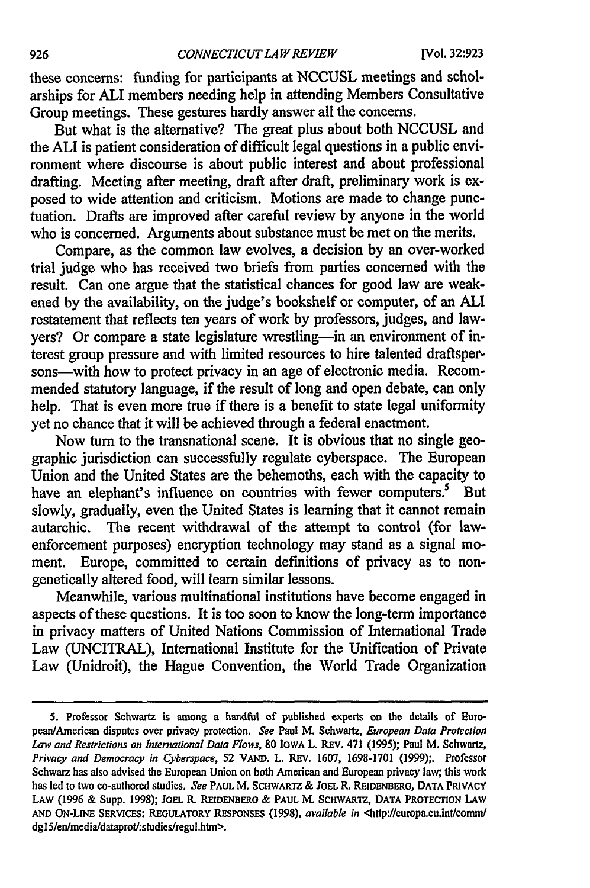these concerns: funding for participants at NCCUSL meetings and scholarships for **ALI** members needing help in attending Members Consultative Group meetings. These gestures hardly answer all the concerns.

But what is the alternative? The great plus about both NCCUSL and the ALI is patient consideration of difficult legal questions in a public environment where discourse is about public interest and about professional drafting. Meeting after meeting, draft after draft, preliminary work is exposed to wide attention and criticism. Motions are made to change punctuation. Drafts are improved after careful review by anyone in the world who is concerned. Arguments about substance must be met on the merits.

Compare, as the common law evolves, a decision by an over-worked trial judge who has received two briefs from parties concerned with the result. Can one argue that the statistical chances for good law are weakened by the availability, on the judge's bookshelf or computer, of an ALl restatement that reflects ten years of work by professors, judges, and lawyers? Or compare a state legislature wrestling—in an environment of interest group pressure and with limited resources to hire talented drafispersons—with how to protect privacy in an age of electronic media. Recommended statutory language, if the result of long and open debate, can only help. That is even more true if there is a benefit to state legal uniformity yet no chance that it will be achieved through a federal enactment.

Now turn to the transnational scene. It is obvious that no single geographic jurisdiction can successfully regulate cyberspace. The European Union and the United States are the behemoths, each with the capacity to have an elephant's influence on countries with fewer computers.<sup>5</sup> But slowly, gradually, even the United States is learning that it cannot remain autarchic. The recent withdrawal of the attempt to control (for lawenforcement purposes) encryption technology may stand as a signal moment. Europe, committed to certain definitions of privacy as to nongenetically altered food, will learn similar lessons.

Meanwhile, various multinational institutions have become engaged in aspects of these questions. It is too soon to know the long-term importance in privacy matters of United Nations Commission of International Trade Law (UNCITRAL), International Institute for the Unification of Private Law (Unidroit), the Hague Convention, the World Trade Organization

**<sup>5.</sup>** Professor Schwartz is among a handful of published experts on the details of European/American disputes over privacy protection. *See* Paul M. Schwartz, *European Data Protection Law and Restrictions on International Data Flows,* **80** IOWA L. REV. 471 (1995); Paul M. Schwartz, *Privacy and Democracy in Cyberspace,* **52 VAND.** L. REV. **1607, 1698-1701 (1999);.** Professor Schwarz has also advised the European Union on both American and European privacy law; this work has led to two co-authored studies. *See* PAUL M. SCHWARTZ & JOEL R. REIDENBERO, DATA PRIVACY LAW (1996 & Supp. 1998); **JOEL** R. REIDENBERO & PAUL M. SCHWARTZ, **DATA PROTECTION LAW AND** ON-LINE SERVICES: REGULATORY RESPONSES (1998), *available in* <http://europa.eu.lntlcomm/ dg15/en/media/dataprot/:studies/regul.htm>.